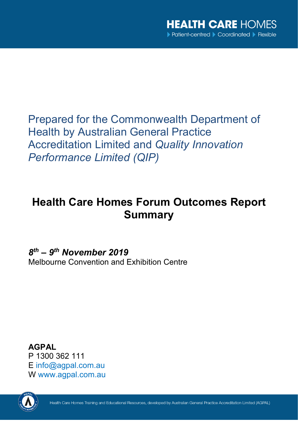Prepared for the Commonwealth Department of Health by Australian General Practice Accreditation Limited and *Quality Innovation Performance Limited (QIP)*

## **Health Care Homes Forum Outcomes Report Summary**

*8th – 9th November 2019* Melbourne Convention and Exhibition Centre

**AGPAL** P 1300 362 111 E [info@agpal.com.au](mailto:info@agpal.com.au) W [www.agpal.com.au](http://www.agpal.com.au/)

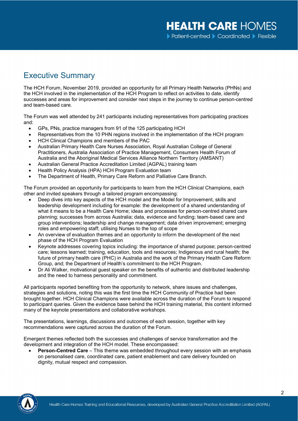## Executive Summary

The HCH Forum, November 2019, provided an opportunity for all Primary Health Networks (PHNs) and the HCH involved in the implementation of the HCH Program to reflect on activities to date, identify successes and areas for improvement and consider next steps in the journey to continue person-centred and team-based care.

The Forum was well attended by 241 participants including representatives from participating practices and:

- GPs, PNs, practice managers from 91 of the 125 participating HCH
- Representatives from the 10 PHN regions involved in the implementation of the HCH program
- HCH Clinical Champions and members of the PAC
- Australian Primary Health Care Nurses Association, Royal Australian College of General Practitioners, Australia Association of Practice Management, Consumers Health Forum of Australia and the Aboriginal Medical Services Alliance Northern Territory (AMSANT)
- Australian General Practice Accreditation Limited (AGPAL) training team
- Health Policy Analysis (HPA) HCH Program Evaluation team
- The Department of Health, Primary Care Reform and Palliative Care Branch.

The Forum provided an opportunity for participants to learn from the HCH Clinical Champions, each other and invited speakers through a tailored program encompassing:

- Deep dives into key aspects of the HCH model and the Model for Improvement, skills and leadership development including for example: the development of a shared understanding of what it means to be a Health Care Home; ideas and processes for person-centred shared care planning; successes from across Australia; data, evidence and funding; team-based care and group interventions; leadership and change management; data driven improvement; emerging roles and empowering staff; utilising Nurses to the top of scope
- An overview of evaluation themes and an opportunity to inform the development of the next phase of the HCH Program Evaluation
- Keynote addresses covering topics including: the importance of shared purpose; person-centred care; lessons learned; training, education, tools and resources; Indigenous and rural health; the future of primary health care (PHC) in Australia and the work of the Primary Health Care Reform Group, and; the Department of Health's commitment to the HCH Program.
- Dr Ali Walker, motivational guest speaker on the benefits of authentic and distributed leadership and the need to harness personality and commitment.

All participants reported benefiting from the opportunity to network, share issues and challenges, strategies and solutions, noting this was the first time the HCH Community of Practice had been brought together. HCH Clinical Champions were available across the duration of the Forum to respond to participant queries. Given the evidence base behind the HCH training material, this content informed many of the keynote presentations and collaborative workshops.

The presentations, learnings, discussions and outcomes of each session, together with key recommendations were captured across the duration of the Forum.

Emergent themes reflected both the successes and challenges of service transformation and the development and integration of the HCH model. These encompassed:

**Person-Centred Care** – This theme was embedded throughout every session with an emphasis on personalised care, coordinated care, patient enablement and care delivery founded on dignity, mutual respect and compassion.

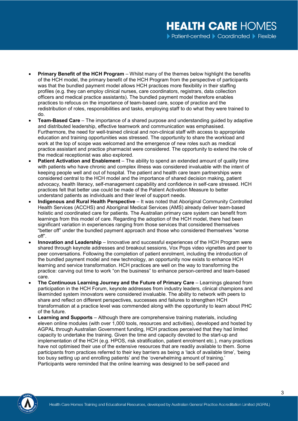- **Primary Benefit of the HCH Program**  Whilst many of the themes below highlight the benefits of the HCH model, the primary benefit of the HCH Program from the perspective of participants was that the bundled payment model allows HCH practices more flexibility in their staffing profiles (e.g. they can employ clinical nurses, care coordinators, registrars, data collection officers and medical practice assistants). The bundled payment model therefore enables practices to refocus on the importance of team-based care, scope of practice and the redistribution of roles, responsibilities and tasks, employing staff to do what they were trained to do.
- **Team-Based Care**  The importance of a shared purpose and understanding guided by adaptive and distributed leadership, effective teamwork and communication was emphasised. Furthermore, the need for well-trained clinical and non-clinical staff with access to appropriate education and training opportunities was stressed. The opportunity to share the workload and work at the top of scope was welcomed and the emergence of new roles such as medical practice assistant and practice pharmacist were considered. The opportunity to extend the role of the medical receptionist was also explored.
- **Patient Activation and Enablement** The ability to spend an extended amount of quality time with patients who have chronic and complex illness was considered invaluable with the intent of keeping people well and out of hospital. The patient and health care team partnerships were considered central to the HCH model and the importance of shared decision making, patient advocacy, health literacy, self-management capability and confidence in self-care stressed. HCH practices felt that better use could be made of the Patient Activation Measure to better understand patients as individuals and their level of support needs.
- **Indigenous and Rural Health Perspective**  It was noted that Aboriginal Community Controlled Health Services (ACCHS) and Aboriginal Medical Services (AMS) already deliver team-based holistic and coordinated care for patients. The Australian primary care system can benefit from learnings from this model of care. Regarding the adoption of the HCH model, there had been significant variation in experiences ranging from those services that considered themselves "better off" under the bundled payment approach and those who considered themselves "worse off".
- **Innovation and Leadership**  Innovative and successful experiences of the HCH Program were shared through keynote addresses and breakout sessions, Vox Pops video vignettes and peer to peer conversations. Following the completion of patient enrolment, including the introduction of the bundled payment model and new technology, an opportunity now exists to enhance HCH learning and service transformation. HCH practices are well on the way to transforming the practice: carving out time to work "on the business" to enhance person-centred and team-based care.
- **The Continuous Learning Journey and the Future of Primary Care Learnings gleaned from** participation in the HCH Forum, keynote addresses from industry leaders, clinical champions and likeminded system innovators were considered invaluable. The ability to network with peers to share and reflect on different perspectives, successes and failures to strengthen HCH transformation at a practice level was commended along with the opportunity to learn about PHC of the future.
- **Learning and Supports** Although there are comprehensive training materials, including eleven online modules (with over 1,000 tools, resources and activities), developed and hosted by AGPAL through Australian Government funding, HCH practices perceived that they had limited capacity to undertake the training. Given the time and capacity devoted to the start-up and implementation of the HCH (e.g. HPOS, risk stratification, patient enrolment etc.), many practices have not optimised their use of the extensive resources that are readily available to them. Some participants from practices referred to their key barriers as being a 'lack of available time', 'being too busy setting up and enrolling patients' and the 'overwhelming amount of training.' Participants were reminded that the online learning was designed to be self-paced and

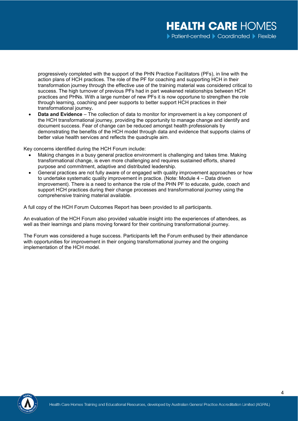progressively completed with the support of the PHN Practice Facilitators (PFs), in line with the action plans of HCH practices. The role of the PF for coaching and supporting HCH in their transformation journey through the effective use of the training material was considered critical to success. The high turnover of previous PFs had in part weakened relationships between HCH practices and PHNs. With a large number of new PFs it is now opportune to strengthen the role through learning, coaching and peer supports to better support HCH practices in their transformational journey**.**

• **Data and Evidence** – The collection of data to monitor for improvement is a key component of the HCH transformational journey, providing the opportunity to manage change and identify and document success. Fear of change can be reduced amongst health professionals by demonstrating the benefits of the HCH model through data and evidence that supports claims of better value health services and reflects the quadruple aim.

Key concerns identified during the HCH Forum include:

- Making changes in a busy general practice environment is challenging and takes time. Making transformational change, is even more challenging and requires sustained efforts, shared purpose and commitment, adaptive and distributed leadership.
- General practices are not fully aware of or engaged with quality improvement approaches or how to undertake systematic quality improvement in practice. (Note: Module 4 – Data driven improvement). There is a need to enhance the role of the PHN PF to educate, guide, coach and support HCH practices during their change processes and transformational journey using the comprehensive training material available.

A full copy of the HCH Forum Outcomes Report has been provided to all participants.

An evaluation of the HCH Forum also provided valuable insight into the experiences of attendees, as well as their learnings and plans moving forward for their continuing transformational journey.

The Forum was considered a huge success. Participants left the Forum enthused by their attendance with opportunities for improvement in their ongoing transformational journey and the ongoing implementation of the HCH model.

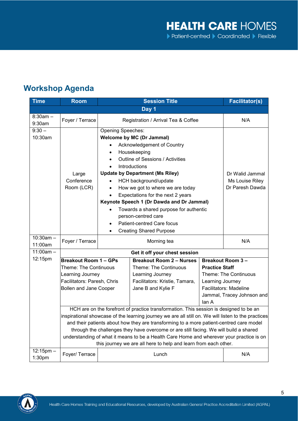## **Workshop Agenda**

| <b>Time</b>                          | <b>Room</b>                                                                                                                                                                                                                                                                                                                                                                                                                                                                                                                                      |                                                                                                                                                                                                                                                                                                                                                                                                                                                                                                                                        | <b>Facilitator(s)</b>                                                                                                                |                                                                                                                                                                       |     |  |  |  |
|--------------------------------------|--------------------------------------------------------------------------------------------------------------------------------------------------------------------------------------------------------------------------------------------------------------------------------------------------------------------------------------------------------------------------------------------------------------------------------------------------------------------------------------------------------------------------------------------------|----------------------------------------------------------------------------------------------------------------------------------------------------------------------------------------------------------------------------------------------------------------------------------------------------------------------------------------------------------------------------------------------------------------------------------------------------------------------------------------------------------------------------------------|--------------------------------------------------------------------------------------------------------------------------------------|-----------------------------------------------------------------------------------------------------------------------------------------------------------------------|-----|--|--|--|
| Day 1                                |                                                                                                                                                                                                                                                                                                                                                                                                                                                                                                                                                  |                                                                                                                                                                                                                                                                                                                                                                                                                                                                                                                                        |                                                                                                                                      |                                                                                                                                                                       |     |  |  |  |
| $8:30am -$<br>9:30am                 | Foyer / Terrace                                                                                                                                                                                                                                                                                                                                                                                                                                                                                                                                  | Registration / Arrival Tea & Coffee                                                                                                                                                                                                                                                                                                                                                                                                                                                                                                    |                                                                                                                                      |                                                                                                                                                                       | N/A |  |  |  |
| $9:30 -$<br>10:30am                  | Large<br>Conference<br>Room (LCR)                                                                                                                                                                                                                                                                                                                                                                                                                                                                                                                | Opening Speeches:<br><b>Welcome by MC (Dr Jammal)</b><br>Acknowledgement of Country<br>$\bullet$<br>Housekeeping<br>$\bullet$<br>Outline of Sessions / Activities<br>Introductions<br><b>Update by Department (Ms Riley)</b><br>HCH background/update<br>How we got to where we are today<br>$\bullet$<br>Expectations for the next 2 years<br>Keynote Speech 1 (Dr Dawda and Dr Jammal)<br>Towards a shared purpose for authentic<br>person-centred care<br>Patient-centred Care focus<br>$\bullet$<br><b>Creating Shared Purpose</b> | Dr Walid Jammal<br>Ms Louise Riley<br>Dr Paresh Dawda                                                                                |                                                                                                                                                                       |     |  |  |  |
| $10:30am -$<br>11:00am               | Foyer / Terrace                                                                                                                                                                                                                                                                                                                                                                                                                                                                                                                                  |                                                                                                                                                                                                                                                                                                                                                                                                                                                                                                                                        | N/A                                                                                                                                  |                                                                                                                                                                       |     |  |  |  |
| $11:00am -$                          |                                                                                                                                                                                                                                                                                                                                                                                                                                                                                                                                                  | Get it off your chest session                                                                                                                                                                                                                                                                                                                                                                                                                                                                                                          |                                                                                                                                      |                                                                                                                                                                       |     |  |  |  |
| 12:15pm                              | <b>Breakout Room 1 - GPs</b><br><b>Theme: The Continuous</b><br>Learning Journey<br>Facilitators: Paresh, Chris<br><b>Bollen and Jane Cooper</b>                                                                                                                                                                                                                                                                                                                                                                                                 |                                                                                                                                                                                                                                                                                                                                                                                                                                                                                                                                        | <b>Breakout Room 2 - Nurses</b><br>Theme: The Continuous<br>Learning Journey<br>Facilitators: Kristie, Tamara,<br>Jane B and Kylie F | <b>Breakout Room 3-</b><br><b>Practice Staff</b><br>Theme: The Continuous<br>Learning Journey<br><b>Facilitators: Madeline</b><br>Jammal, Tracey Johnson and<br>lan A |     |  |  |  |
|                                      | HCH are on the forefront of practice transformation. This session is designed to be an<br>inspirational showcase of the learning journey we are all still on. We will listen to the practices<br>and their patients about how they are transforming to a more patient-centred care model<br>through the challenges they have overcome or are still facing. We will build a shared<br>understanding of what it means to be a Health Care Home and wherever your practice is on<br>this journey we are all here to help and learn from each other. |                                                                                                                                                                                                                                                                                                                                                                                                                                                                                                                                        |                                                                                                                                      |                                                                                                                                                                       |     |  |  |  |
| $12:15$ pm $-$<br>1:30 <sub>pm</sub> | Foyer/ Terrace                                                                                                                                                                                                                                                                                                                                                                                                                                                                                                                                   |                                                                                                                                                                                                                                                                                                                                                                                                                                                                                                                                        | N/A                                                                                                                                  |                                                                                                                                                                       |     |  |  |  |

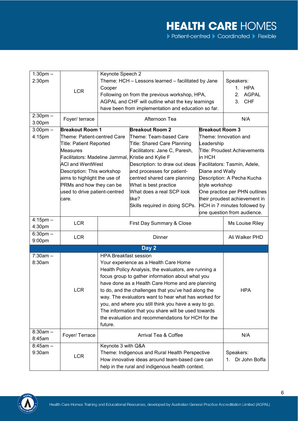| $1:30$ pm $-$           |                                | Keynote Speech 2                                                                                                                                              |                                                                                                          |                                                    |                                |  |  |
|-------------------------|--------------------------------|---------------------------------------------------------------------------------------------------------------------------------------------------------------|----------------------------------------------------------------------------------------------------------|----------------------------------------------------|--------------------------------|--|--|
| 2:30pm                  |                                |                                                                                                                                                               |                                                                                                          | Theme: HCH - Lessons learned - facilitated by Jane |                                |  |  |
|                         |                                |                                                                                                                                                               |                                                                                                          | Speakers:<br><b>HPA</b><br>1 <sub>1</sub>          |                                |  |  |
|                         | <b>LCR</b>                     | Cooper                                                                                                                                                        |                                                                                                          |                                                    |                                |  |  |
|                         |                                |                                                                                                                                                               | Following on from the previous workshop, HPA,                                                            |                                                    | <b>AGPAL</b><br>2 <sub>1</sub> |  |  |
|                         |                                |                                                                                                                                                               | AGPAL and CHF will outline what the key learnings<br>have been from implementation and education so far. |                                                    | <b>CHF</b><br>3.               |  |  |
|                         |                                |                                                                                                                                                               |                                                                                                          |                                                    |                                |  |  |
| $2:30$ pm $-$<br>3:00pm | Foyer/ terrace                 |                                                                                                                                                               | Afternoon Tea                                                                                            |                                                    | N/A                            |  |  |
| $3:00$ pm $-$           | <b>Breakout Room 1</b>         |                                                                                                                                                               | <b>Breakout Room 2</b>                                                                                   | <b>Breakout Room 3</b>                             |                                |  |  |
| 4:15pm                  | Theme: Patient-centred Care    |                                                                                                                                                               | Theme: Team-based Care                                                                                   |                                                    | Theme: Innovation and          |  |  |
|                         | <b>Title: Patient Reported</b> |                                                                                                                                                               | Title: Shared Care Planning                                                                              | Leadership                                         |                                |  |  |
|                         | <b>Measures</b>                |                                                                                                                                                               | Facilitators: Jane C, Paresh,                                                                            | Title: Proudest Achievements                       |                                |  |  |
|                         |                                |                                                                                                                                                               | Facilitators: Madeline Jammal, Kristie and Kylie F                                                       | in HCH                                             |                                |  |  |
|                         | <b>ACI and WentWest</b>        |                                                                                                                                                               | Description: to draw out ideas                                                                           | Facilitators: Tasmin, Adele,                       |                                |  |  |
|                         | Description: This workshop     |                                                                                                                                                               | and processes for patient-                                                                               | Diane and Wally                                    |                                |  |  |
|                         | aims to highlight the use of   |                                                                                                                                                               | centred shared care planning                                                                             |                                                    | Description: A Pecha Kucha     |  |  |
|                         | PRMs and how they can be       |                                                                                                                                                               | What is best practice                                                                                    | style workshop                                     |                                |  |  |
|                         | used to drive patient-centred  |                                                                                                                                                               | What does a real SCP look                                                                                |                                                    | One practice per PHN outlines  |  |  |
|                         | care.                          |                                                                                                                                                               | like?                                                                                                    |                                                    | their proudest achievement in  |  |  |
|                         |                                |                                                                                                                                                               | Skills required in doing SCPs.                                                                           |                                                    | HCH in 7 minutes followed by   |  |  |
|                         |                                |                                                                                                                                                               |                                                                                                          |                                                    | one question from audience.    |  |  |
| $4:15$ pm $-$           |                                |                                                                                                                                                               |                                                                                                          |                                                    |                                |  |  |
| 4:30pm                  | <b>LCR</b>                     | First Day Summary & Close                                                                                                                                     |                                                                                                          |                                                    | Ms Louise Riley                |  |  |
| $6:30$ pm $-$           |                                |                                                                                                                                                               |                                                                                                          |                                                    |                                |  |  |
| 9:00pm                  | <b>LCR</b>                     | Dinner                                                                                                                                                        |                                                                                                          |                                                    | Ali Walker PHD                 |  |  |
|                         |                                |                                                                                                                                                               |                                                                                                          |                                                    |                                |  |  |
|                         |                                |                                                                                                                                                               | Day 2                                                                                                    |                                                    |                                |  |  |
| $7:30am -$              |                                | <b>HPA Breakfast session</b>                                                                                                                                  |                                                                                                          |                                                    |                                |  |  |
| 8:30am                  |                                |                                                                                                                                                               | Your experience as a Health Care Home                                                                    |                                                    |                                |  |  |
|                         |                                | Health Policy Analysis, the evaluators, are running a<br>focus group to gather information about what you<br>have done as a Health Care Home and are planning |                                                                                                          |                                                    |                                |  |  |
|                         |                                |                                                                                                                                                               |                                                                                                          |                                                    |                                |  |  |
|                         |                                |                                                                                                                                                               |                                                                                                          |                                                    |                                |  |  |
|                         | <b>LCR</b>                     | to do, and the challenges that you've had along the                                                                                                           | <b>HPA</b>                                                                                               |                                                    |                                |  |  |
|                         |                                | way. The evaluators want to hear what has worked for                                                                                                          |                                                                                                          |                                                    |                                |  |  |
|                         |                                |                                                                                                                                                               | you, and where you still think you have a way to go.                                                     |                                                    |                                |  |  |
|                         |                                | The information that you share will be used towards                                                                                                           |                                                                                                          |                                                    |                                |  |  |
|                         |                                | the evaluation and recommendations for HCH for the                                                                                                            |                                                                                                          |                                                    |                                |  |  |
|                         |                                | future.                                                                                                                                                       |                                                                                                          |                                                    |                                |  |  |
| $8:30am -$              | Foyer/ Terrace                 |                                                                                                                                                               |                                                                                                          |                                                    | N/A                            |  |  |
| 8:45am                  |                                | Arrival Tea & Coffee                                                                                                                                          |                                                                                                          |                                                    |                                |  |  |
| $8:45am -$              | Keynote 3 with Q&A             |                                                                                                                                                               |                                                                                                          |                                                    |                                |  |  |
| 9:30am                  | <b>LCR</b>                     | Theme: Indigenous and Rural Health Perspective                                                                                                                |                                                                                                          |                                                    | Speakers:                      |  |  |
|                         |                                | How innovative ideas around team-based care can                                                                                                               |                                                                                                          |                                                    | Dr John Boffa<br>$1_{-}$       |  |  |
|                         |                                |                                                                                                                                                               | help in the rural and indigenous health context.                                                         |                                                    |                                |  |  |